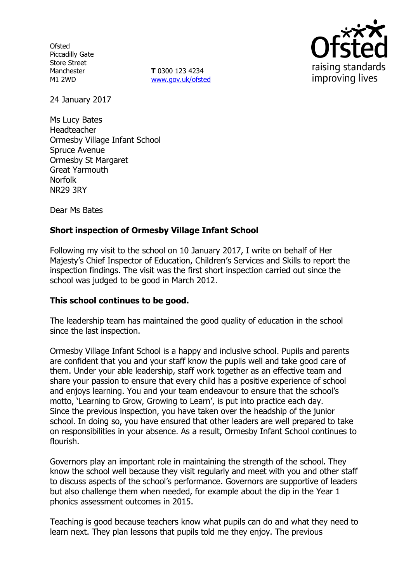**Ofsted** Piccadilly Gate Store Street Manchester M1 2WD

**T** 0300 123 4234 www.gov.uk/ofsted



24 January 2017

Ms Lucy Bates Headteacher Ormesby Village Infant School Spruce Avenue Ormesby St Margaret Great Yarmouth Norfolk NR29 3RY

Dear Ms Bates

## **Short inspection of Ormesby Village Infant School**

Following my visit to the school on 10 January 2017, I write on behalf of Her Majesty's Chief Inspector of Education, Children's Services and Skills to report the inspection findings. The visit was the first short inspection carried out since the school was judged to be good in March 2012.

### **This school continues to be good.**

The leadership team has maintained the good quality of education in the school since the last inspection.

Ormesby Village Infant School is a happy and inclusive school. Pupils and parents are confident that you and your staff know the pupils well and take good care of them. Under your able leadership, staff work together as an effective team and share your passion to ensure that every child has a positive experience of school and enjoys learning. You and your team endeavour to ensure that the school's motto, 'Learning to Grow, Growing to Learn', is put into practice each day. Since the previous inspection, you have taken over the headship of the junior school. In doing so, you have ensured that other leaders are well prepared to take on responsibilities in your absence. As a result, Ormesby Infant School continues to flourish.

Governors play an important role in maintaining the strength of the school. They know the school well because they visit regularly and meet with you and other staff to discuss aspects of the school's performance. Governors are supportive of leaders but also challenge them when needed, for example about the dip in the Year 1 phonics assessment outcomes in 2015.

Teaching is good because teachers know what pupils can do and what they need to learn next. They plan lessons that pupils told me they enjoy. The previous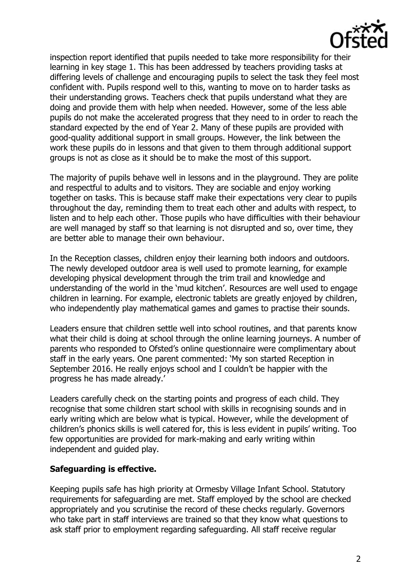

inspection report identified that pupils needed to take more responsibility for their learning in key stage 1. This has been addressed by teachers providing tasks at differing levels of challenge and encouraging pupils to select the task they feel most confident with. Pupils respond well to this, wanting to move on to harder tasks as their understanding grows. Teachers check that pupils understand what they are doing and provide them with help when needed. However, some of the less able pupils do not make the accelerated progress that they need to in order to reach the standard expected by the end of Year 2. Many of these pupils are provided with good-quality additional support in small groups. However, the link between the work these pupils do in lessons and that given to them through additional support groups is not as close as it should be to make the most of this support.

The majority of pupils behave well in lessons and in the playground. They are polite and respectful to adults and to visitors. They are sociable and enjoy working together on tasks. This is because staff make their expectations very clear to pupils throughout the day, reminding them to treat each other and adults with respect, to listen and to help each other. Those pupils who have difficulties with their behaviour are well managed by staff so that learning is not disrupted and so, over time, they are better able to manage their own behaviour.

In the Reception classes, children enjoy their learning both indoors and outdoors. The newly developed outdoor area is well used to promote learning, for example developing physical development through the trim trail and knowledge and understanding of the world in the 'mud kitchen'. Resources are well used to engage children in learning. For example, electronic tablets are greatly enjoyed by children, who independently play mathematical games and games to practise their sounds.

Leaders ensure that children settle well into school routines, and that parents know what their child is doing at school through the online learning journeys. A number of parents who responded to Ofsted's online questionnaire were complimentary about staff in the early years. One parent commented: 'My son started Reception in September 2016. He really enjoys school and I couldn't be happier with the progress he has made already.'

Leaders carefully check on the starting points and progress of each child. They recognise that some children start school with skills in recognising sounds and in early writing which are below what is typical. However, while the development of children's phonics skills is well catered for, this is less evident in pupils' writing. Too few opportunities are provided for mark-making and early writing within independent and guided play.

### **Safeguarding is effective.**

Keeping pupils safe has high priority at Ormesby Village Infant School. Statutory requirements for safeguarding are met. Staff employed by the school are checked appropriately and you scrutinise the record of these checks regularly. Governors who take part in staff interviews are trained so that they know what questions to ask staff prior to employment regarding safeguarding. All staff receive regular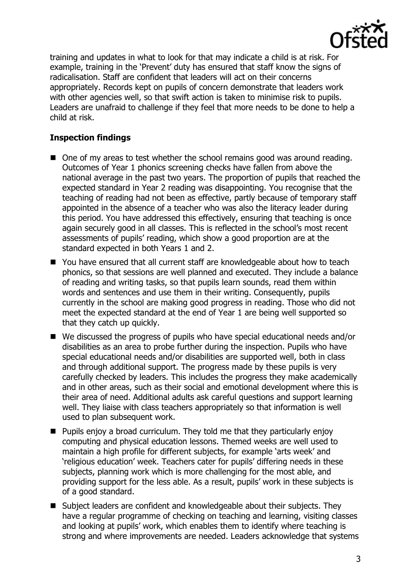

training and updates in what to look for that may indicate a child is at risk. For example, training in the 'Prevent' duty has ensured that staff know the signs of radicalisation. Staff are confident that leaders will act on their concerns appropriately. Records kept on pupils of concern demonstrate that leaders work with other agencies well, so that swift action is taken to minimise risk to pupils. Leaders are unafraid to challenge if they feel that more needs to be done to help a child at risk.

# **Inspection findings**

- One of my areas to test whether the school remains good was around reading. Outcomes of Year 1 phonics screening checks have fallen from above the national average in the past two years. The proportion of pupils that reached the expected standard in Year 2 reading was disappointing. You recognise that the teaching of reading had not been as effective, partly because of temporary staff appointed in the absence of a teacher who was also the literacy leader during this period. You have addressed this effectively, ensuring that teaching is once again securely good in all classes. This is reflected in the school's most recent assessments of pupils' reading, which show a good proportion are at the standard expected in both Years 1 and 2.
- You have ensured that all current staff are knowledgeable about how to teach phonics, so that sessions are well planned and executed. They include a balance of reading and writing tasks, so that pupils learn sounds, read them within words and sentences and use them in their writing. Consequently, pupils currently in the school are making good progress in reading. Those who did not meet the expected standard at the end of Year 1 are being well supported so that they catch up quickly.
- We discussed the progress of pupils who have special educational needs and/or disabilities as an area to probe further during the inspection. Pupils who have special educational needs and/or disabilities are supported well, both in class and through additional support. The progress made by these pupils is very carefully checked by leaders. This includes the progress they make academically and in other areas, such as their social and emotional development where this is their area of need. Additional adults ask careful questions and support learning well. They liaise with class teachers appropriately so that information is well used to plan subsequent work.
- **Pupils enjoy a broad curriculum. They told me that they particularly enjoy** computing and physical education lessons. Themed weeks are well used to maintain a high profile for different subjects, for example 'arts week' and 'religious education' week. Teachers cater for pupils' differing needs in these subjects, planning work which is more challenging for the most able, and providing support for the less able. As a result, pupils' work in these subjects is of a good standard.
- Subject leaders are confident and knowledgeable about their subjects. They have a regular programme of checking on teaching and learning, visiting classes and looking at pupils' work, which enables them to identify where teaching is strong and where improvements are needed. Leaders acknowledge that systems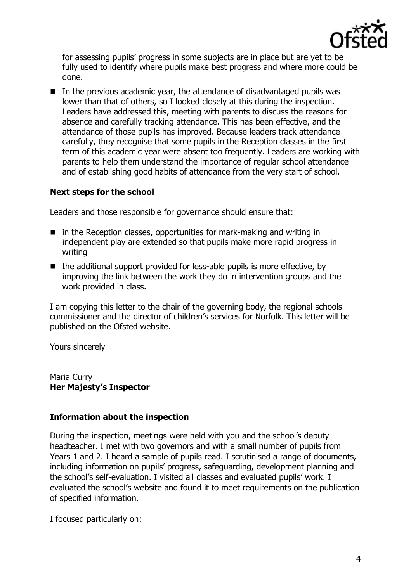

for assessing pupils' progress in some subjects are in place but are yet to be fully used to identify where pupils make best progress and where more could be done.

 $\blacksquare$  In the previous academic year, the attendance of disadvantaged pupils was lower than that of others, so I looked closely at this during the inspection. Leaders have addressed this, meeting with parents to discuss the reasons for absence and carefully tracking attendance. This has been effective, and the attendance of those pupils has improved. Because leaders track attendance carefully, they recognise that some pupils in the Reception classes in the first term of this academic year were absent too frequently. Leaders are working with parents to help them understand the importance of regular school attendance and of establishing good habits of attendance from the very start of school.

### **Next steps for the school**

Leaders and those responsible for governance should ensure that:

- $\blacksquare$  in the Reception classes, opportunities for mark-making and writing in independent play are extended so that pupils make more rapid progress in writing
- $\blacksquare$  the additional support provided for less-able pupils is more effective, by improving the link between the work they do in intervention groups and the work provided in class.

I am copying this letter to the chair of the governing body, the regional schools commissioner and the director of children's services for Norfolk. This letter will be published on the Ofsted website.

Yours sincerely

Maria Curry **Her Majesty's Inspector**

### **Information about the inspection**

During the inspection, meetings were held with you and the school's deputy headteacher. I met with two governors and with a small number of pupils from Years 1 and 2. I heard a sample of pupils read. I scrutinised a range of documents, including information on pupils' progress, safeguarding, development planning and the school's self-evaluation. I visited all classes and evaluated pupils' work. I evaluated the school's website and found it to meet requirements on the publication of specified information.

I focused particularly on: